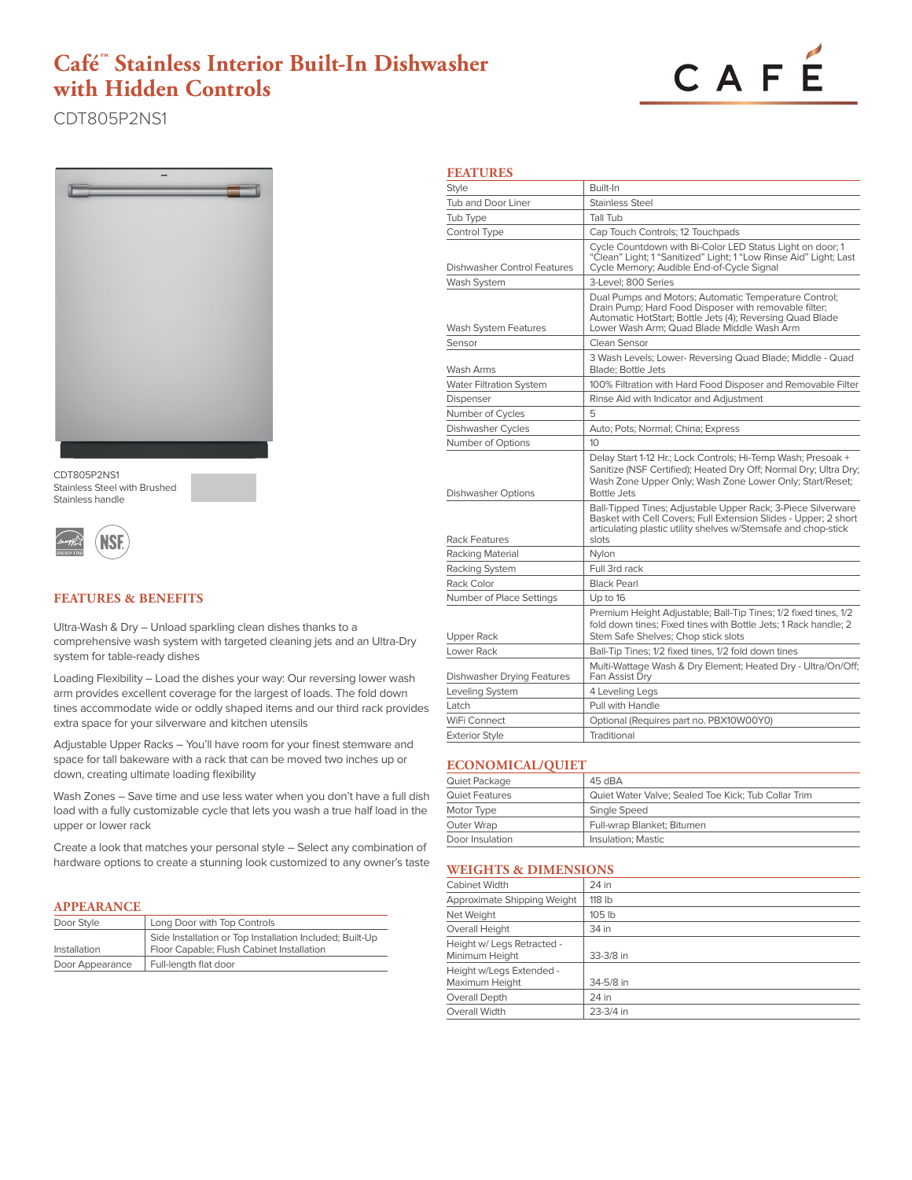# **Café™ Stainless Interior Built-In Dishwasher with Hidden Controls**



CDT805P2NS1



CDT805P2NS1 Stainless Steel with Brushed Stainless handle



# **FEATURES & BENEFITS**

Ultra-Wash & Dry – Unload sparkling clean dishes thanks to a comprehensive wash system with targeted cleaning jets and an Ultra-Dry system for table-ready dishes

Loading Flexibility – Load the dishes your way: Our reversing lower wash arm provides excellent coverage for the largest of loads. The fold down tines accommodate wide or oddly shaped items and our third rack provides extra space for your silverware and kitchen utensils

Adjustable Upper Racks – You'll have room for your finest stemware and space for tall bakeware with a rack that can be moved two inches up or down, creating ultimate loading flexibility

Wash Zones – Save time and use less water when you don't have a full dish load with a fully customizable cycle that lets you wash a true half load in the upper or lower rack

Create a look that matches your personal style – Select any combination of hardware options to create a stunning look customized to any owner's taste

### **APPEARANCE**

| Door Style      | Long Door with Top Controls                              |
|-----------------|----------------------------------------------------------|
|                 | Side Installation or Top Installation Included; Built-Up |
| Installation    | Floor Capable; Flush Cabinet Installation                |
| Door Appearance | Full-length flat door                                    |

|--|

| <b>Style</b>                      | Built-In                                                                                                                                                                                                                  |
|-----------------------------------|---------------------------------------------------------------------------------------------------------------------------------------------------------------------------------------------------------------------------|
| <b>Tub and Door Liner</b>         | Stainless Steel                                                                                                                                                                                                           |
| Tub Type                          | Tall Tub                                                                                                                                                                                                                  |
| Control Type                      | Cap Touch Controls; 12 Touchpads                                                                                                                                                                                          |
| Dishwasher Control Features       | Cycle Countdown with Bi-Color LED Status Light on door; 1<br>"Clean" Light; 1 "Sanitized" Light; 1 "Low Rinse Aid" Light; Last<br>Cycle Memory; Audible End-of-Cycle Signal                                               |
| Wash System                       | 3-Level: 800 Series                                                                                                                                                                                                       |
| Wash System Features              | Dual Pumps and Motors; Automatic Temperature Control;<br>Drain Pump; Hard Food Disposer with removable filter;<br>Automatic HotStart; Bottle Jets (4); Reversing Quad Blade<br>Lower Wash Arm: Quad Blade Middle Wash Arm |
| Sensor                            | Clean Sensor                                                                                                                                                                                                              |
| Wash Arms                         | 3 Wash Levels; Lower- Reversing Quad Blade; Middle - Quad<br><b>Blade: Bottle Jets</b>                                                                                                                                    |
| <b>Water Filtration System</b>    | 100% Filtration with Hard Food Disposer and Removable Filter                                                                                                                                                              |
| Dispenser                         | Rinse Aid with Indicator and Adjustment                                                                                                                                                                                   |
| Number of Cycles                  | 5                                                                                                                                                                                                                         |
| Dishwasher Cycles                 | Auto; Pots; Normal; China; Express                                                                                                                                                                                        |
| Number of Options                 | 10                                                                                                                                                                                                                        |
| Dishwasher Options                | Delay Start 1-12 Hr.; Lock Controls; Hi-Temp Wash; Presoak +<br>Sanitize (NSF Certified); Heated Dry Off; Normal Dry; Ultra Dry;<br>Wash Zone Upper Only; Wash Zone Lower Only; Start/Reset;<br><b>Bottle Jets</b>        |
| <b>Rack Features</b>              | Ball-Tipped Tines; Adjustable Upper Rack; 3-Piece Silverware<br>Basket with Cell Covers; Full Extension Slides - Upper; 2 short<br>articulating plastic utility shelves w/Stemsafe and chop-stick<br>slots                |
| Racking Material                  | Nylon                                                                                                                                                                                                                     |
| Racking System                    | Full 3rd rack                                                                                                                                                                                                             |
| Rack Color                        | <b>Black Pearl</b>                                                                                                                                                                                                        |
| Number of Place Settings          | Up to 16                                                                                                                                                                                                                  |
| Upper Rack                        | Premium Height Adjustable; Ball-Tip Tines; 1/2 fixed tines, 1/2<br>fold down tines; Fixed tines with Bottle Jets; 1 Rack handle; 2<br>Stem Safe Shelves; Chop stick slots                                                 |
| Lower Rack                        | Ball-Tip Tines; 1/2 fixed tines, 1/2 fold down tines                                                                                                                                                                      |
| <b>Dishwasher Drying Features</b> | Multi-Wattage Wash & Dry Element; Heated Dry - Ultra/On/Off;<br>Fan Assist Dry                                                                                                                                            |
| Leveling System                   | 4 Leveling Legs                                                                                                                                                                                                           |
| Latch                             | Pull with Handle                                                                                                                                                                                                          |
| WiFi Connect                      | Optional (Requires part no. PBX10W00Y0)                                                                                                                                                                                   |
| <b>Exterior Style</b>             | Traditional                                                                                                                                                                                                               |

#### **ECONOMICAL/QUIET**

| Quiet Package   | 45 dBA                                              |
|-----------------|-----------------------------------------------------|
| Quiet Features  | Quiet Water Valve; Sealed Toe Kick; Tub Collar Trim |
| Motor Type      | Single Speed                                        |
| Outer Wrap      | Full-wrap Blanket: Bitumen                          |
| Door Insulation | Insulation; Mastic                                  |

# **WEIGHTS & DIMENSIONS**

| WERTH TO & DIMENSIONS                        |           |  |
|----------------------------------------------|-----------|--|
| <b>Cabinet Width</b>                         | 24 in     |  |
| Approximate Shipping Weight                  | 118 lb    |  |
| Net Weight                                   | 105 lb    |  |
| Overall Height                               | 34 in     |  |
| Height w/ Legs Retracted -<br>Minimum Height | 33-3/8 in |  |
| Height w/Legs Extended -<br>Maximum Height   | 34-5/8 in |  |
| Overall Depth                                | 24 in     |  |
| Overall Width                                | 23-3/4 in |  |